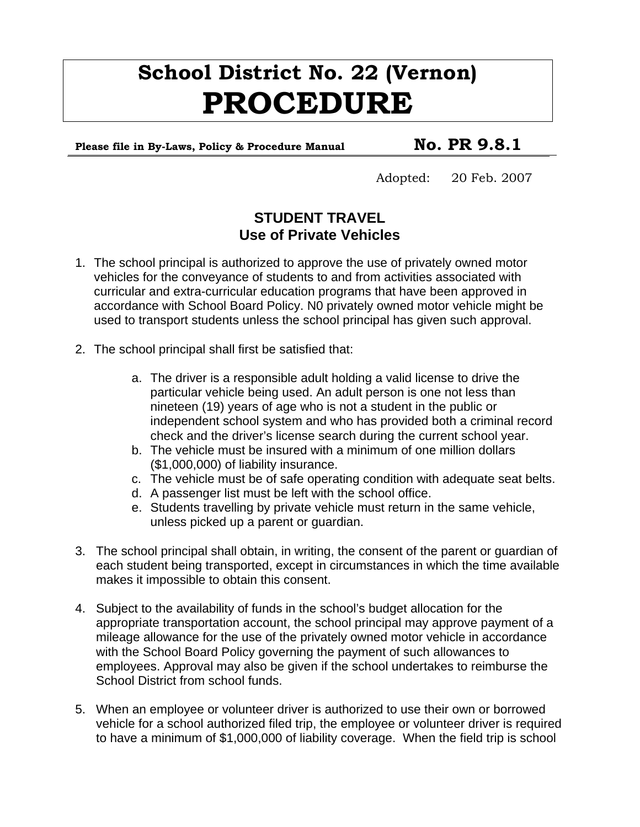# **School District No. 22 (Vernon) PROCEDURE**

Please file in By-Laws, Policy & Procedure Manual **No. PR 9.8.1** 

Adopted: 20 Feb. 2007

### **STUDENT TRAVEL Use of Private Vehicles**

- 1. The school principal is authorized to approve the use of privately owned motor vehicles for the conveyance of students to and from activities associated with curricular and extra-curricular education programs that have been approved in accordance with School Board Policy. N0 privately owned motor vehicle might be used to transport students unless the school principal has given such approval.
- 2. The school principal shall first be satisfied that:
	- a. The driver is a responsible adult holding a valid license to drive the particular vehicle being used. An adult person is one not less than nineteen (19) years of age who is not a student in the public or independent school system and who has provided both a criminal record check and the driver's license search during the current school year.
	- b. The vehicle must be insured with a minimum of one million dollars (\$1,000,000) of liability insurance.
	- c. The vehicle must be of safe operating condition with adequate seat belts.
	- d. A passenger list must be left with the school office.
	- e. Students travelling by private vehicle must return in the same vehicle, unless picked up a parent or guardian.
- 3. The school principal shall obtain, in writing, the consent of the parent or guardian of each student being transported, except in circumstances in which the time available makes it impossible to obtain this consent.
- 4. Subject to the availability of funds in the school's budget allocation for the appropriate transportation account, the school principal may approve payment of a mileage allowance for the use of the privately owned motor vehicle in accordance with the School Board Policy governing the payment of such allowances to employees. Approval may also be given if the school undertakes to reimburse the School District from school funds.
- 5. When an employee or volunteer driver is authorized to use their own or borrowed vehicle for a school authorized filed trip, the employee or volunteer driver is required to have a minimum of \$1,000,000 of liability coverage. When the field trip is school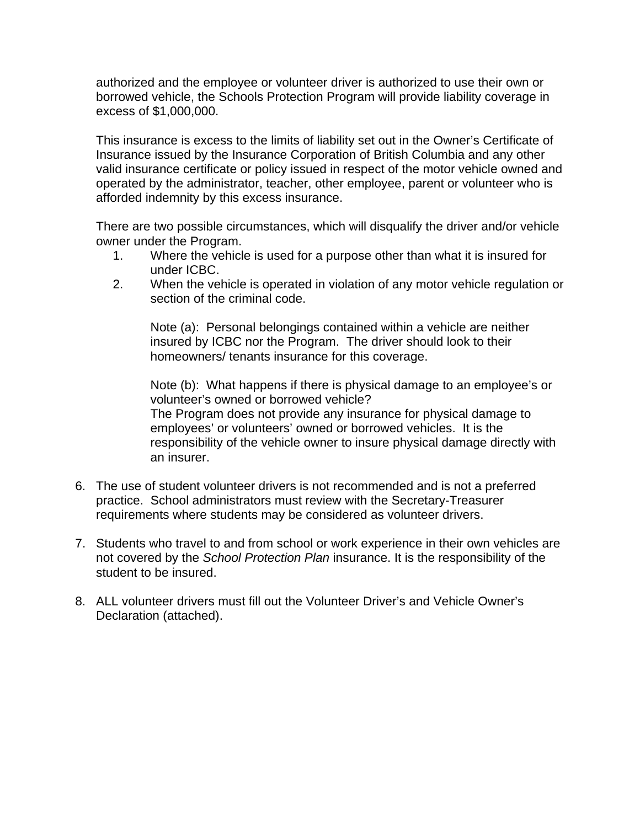authorized and the employee or volunteer driver is authorized to use their own or borrowed vehicle, the Schools Protection Program will provide liability coverage in excess of \$1,000,000.

This insurance is excess to the limits of liability set out in the Owner's Certificate of Insurance issued by the Insurance Corporation of British Columbia and any other valid insurance certificate or policy issued in respect of the motor vehicle owned and operated by the administrator, teacher, other employee, parent or volunteer who is afforded indemnity by this excess insurance.

There are two possible circumstances, which will disqualify the driver and/or vehicle owner under the Program.

- 1. Where the vehicle is used for a purpose other than what it is insured for under ICBC.
- 2. When the vehicle is operated in violation of any motor vehicle regulation or section of the criminal code.

Note (a): Personal belongings contained within a vehicle are neither insured by ICBC nor the Program. The driver should look to their homeowners/ tenants insurance for this coverage.

Note (b): What happens if there is physical damage to an employee's or volunteer's owned or borrowed vehicle? The Program does not provide any insurance for physical damage to employees' or volunteers' owned or borrowed vehicles. It is the responsibility of the vehicle owner to insure physical damage directly with an insurer.

- 6. The use of student volunteer drivers is not recommended and is not a preferred practice. School administrators must review with the Secretary-Treasurer requirements where students may be considered as volunteer drivers.
- 7. Students who travel to and from school or work experience in their own vehicles are not covered by the *School Protection Plan* insurance. It is the responsibility of the student to be insured.
- 8. ALL volunteer drivers must fill out the Volunteer Driver's and Vehicle Owner's Declaration (attached).